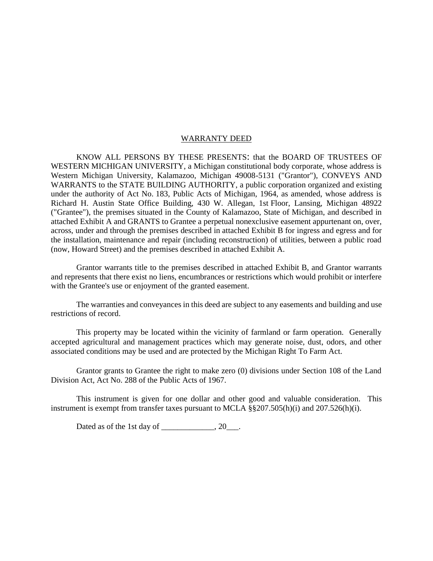#### WARRANTY DEED

KNOW ALL PERSONS BY THESE PRESENTS: that the BOARD OF TRUSTEES OF WESTERN MICHIGAN UNIVERSITY, a Michigan constitutional body corporate, whose address is Western Michigan University, Kalamazoo, Michigan 49008-5131 ("Grantor"), CONVEYS AND WARRANTS to the STATE BUILDING AUTHORITY, a public corporation organized and existing under the authority of Act No. 183, Public Acts of Michigan, 1964, as amended, whose address is Richard H. Austin State Office Building, 430 W. Allegan, 1st Floor, Lansing, Michigan 48922 ("Grantee"), the premises situated in the County of Kalamazoo, State of Michigan, and described in attached Exhibit A and GRANTS to Grantee a perpetual nonexclusive easement appurtenant on, over, across, under and through the premises described in attached Exhibit B for ingress and egress and for the installation, maintenance and repair (including reconstruction) of utilities, between a public road (now, Howard Street) and the premises described in attached Exhibit A.

Grantor warrants title to the premises described in attached Exhibit B, and Grantor warrants and represents that there exist no liens, encumbrances or restrictions which would prohibit or interfere with the Grantee's use or enjoyment of the granted easement.

The warranties and conveyances in this deed are subject to any easements and building and use restrictions of record.

This property may be located within the vicinity of farmland or farm operation. Generally accepted agricultural and management practices which may generate noise, dust, odors, and other associated conditions may be used and are protected by the Michigan Right To Farm Act.

Grantor grants to Grantee the right to make zero (0) divisions under Section 108 of the Land Division Act, Act No. 288 of the Public Acts of 1967.

This instrument is given for one dollar and other good and valuable consideration. This instrument is exempt from transfer taxes pursuant to MCLA §§207.505(h)(i) and 207.526(h)(i).

Dated as of the 1st day of  $\frac{1}{2}$ , 20 $\frac{1}{2}$ .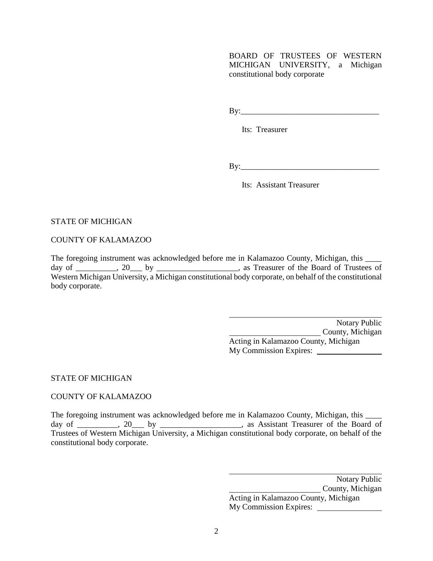BOARD OF TRUSTEES OF WESTERN MICHIGAN UNIVERSITY, a Michigan constitutional body corporate

By:\_\_\_\_\_\_\_\_\_\_\_\_\_\_\_\_\_\_\_\_\_\_\_\_\_\_\_\_\_\_\_\_\_\_

Its: Treasurer

By:\_\_\_\_\_\_\_\_\_\_\_\_\_\_\_\_\_\_\_\_\_\_\_\_\_\_\_\_\_\_\_\_\_\_

Its: Assistant Treasurer

# STATE OF MICHIGAN

COUNTY OF KALAMAZOO

The foregoing instrument was acknowledged before me in Kalamazoo County, Michigan, this \_\_\_\_\_ day of \_\_\_\_\_\_\_\_, 20\_\_\_ by \_\_\_\_\_\_\_\_\_\_\_\_\_\_\_\_, as Treasurer of the Board of Trustees of Western Michigan University, a Michigan constitutional body corporate, on behalf of the constitutional body corporate.

> Notary Public County, Michigan Acting in Kalamazoo County, Michigan My Commission Expires:

# STATE OF MICHIGAN

# COUNTY OF KALAMAZOO

The foregoing instrument was acknowledged before me in Kalamazoo County, Michigan, this \_\_\_\_ day of \_\_\_\_\_\_\_, 20 by \_\_\_\_\_\_\_\_\_\_\_\_\_, as Assistant Treasurer of the Board of Trustees of Western Michigan University, a Michigan constitutional body corporate, on behalf of the constitutional body corporate.

> Notary Public **County**, Michigan Acting in Kalamazoo County, Michigan My Commission Expires: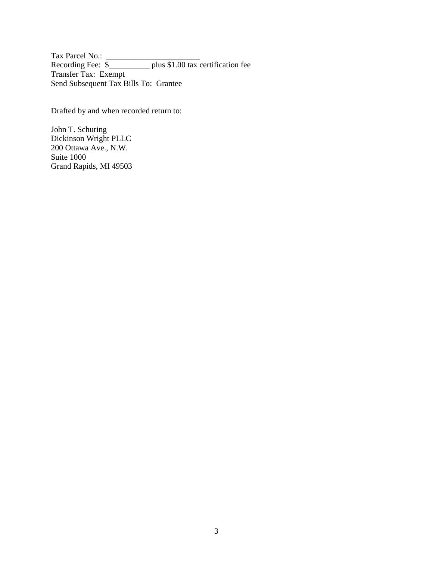Tax Parcel No.: \_\_\_\_\_\_\_\_\_\_\_\_\_\_\_\_\_\_\_\_\_\_\_ Recording Fee: \$\_\_\_\_\_\_\_\_\_\_ plus \$1.00 tax certification fee Transfer Tax: Exempt Send Subsequent Tax Bills To: Grantee

Drafted by and when recorded return to:

John T. Schuring Dickinson Wright PLLC 200 Ottawa Ave., N.W. Suite 1000 Grand Rapids, MI 49503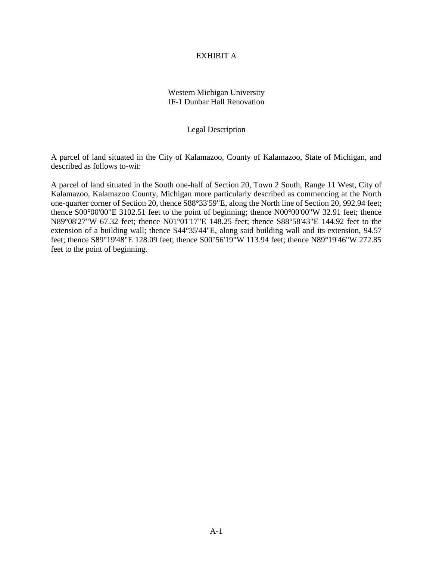### EXHIBIT A

# Western Michigan University IF-1 Dunbar Hall Renovation

## Legal Description

A parcel of land situated in the City of Kalamazoo, County of Kalamazoo, State of Michigan, and described as follows to-wit:

A parcel of land situated in the South one-half of Section 20, Town 2 South, Range 11 West, City of Kalamazoo, Kalamazoo County, Michigan more particularly described as commencing at the North one-quarter corner of Section 20, thence S88°33'59"E, along the North line of Section 20, 992.94 feet; thence S00°00'00"E 3102.51 feet to the point of beginning; thence N00°00'00"W 32.91 feet; thence N89°08'27"W 67.32 feet; thence N01°01'17"E 148.25 feet; thence S88°58'43"E 144.92 feet to the extension of a building wall; thence S44°35'44"E, along said building wall and its extension, 94.57 feet; thence S89°19'48"E 128.09 feet; thence S00°56'19"W 113.94 feet; thence N89°19'46"W 272.85 feet to the point of beginning.